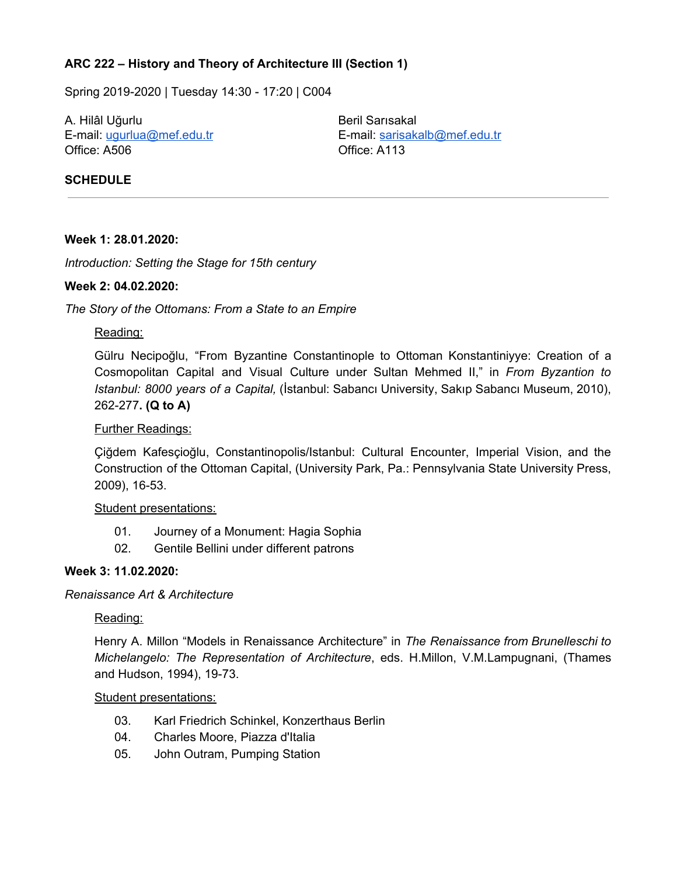# **ARC 222 – History and Theory of Architecture III (Section 1)**

Spring 2019-2020 | Tuesday 14:30 - 17:20 | C004

A. Hilâl Uğurlu E-mail: [ugurlua@mef.edu.tr](mailto:ugurlua@mef.edu.tr) Office: A506

Beril Sarısakal E-mail: [sarisakalb@mef.edu.tr](mailto:sarisakalb@mef.edu.tr) Office: A113

#### **SCHEDULE**

#### **Week 1: 28.01.2020:**

*Introduction: Setting the Stage for 15th century*

#### **Week 2: 04.02.2020:**

*The Story of the Ottomans: From a State to an Empire*

#### Reading:

Gülru Necipoğlu, "From Byzantine Constantinople to Ottoman Konstantiniyye: Creation of a Cosmopolitan Capital and Visual Culture under Sultan Mehmed II," in *From Byzantion to Istanbul: 8000 years of a Capital,* (İstanbul: Sabancı University, Sakıp Sabancı Museum, 2010), 262-277**. (Q to A)**

#### Further Readings:

Çiğdem Kafesçioğlu, Constantinopolis/Istanbul: Cultural Encounter, Imperial Vision, and the Construction of the Ottoman Capital, (University Park, Pa.: Pennsylvania State University Press, 2009), 16-53.

#### Student presentations:

- 01. Journey of a Monument: Hagia Sophia
- 02. Gentile Bellini under different patrons

#### **Week 3: 11.02.2020:**

*Renaissance Art & Architecture*

#### Reading:

Henry A. Millon "Models in Renaissance Architecture" in *The Renaissance from Brunelleschi to Michelangelo: The Representation of Architecture*, eds. H.Millon, V.M.Lampugnani, (Thames and Hudson, 1994), 19-73.

#### Student presentations:

- 03. Karl Friedrich Schinkel, Konzerthaus Berlin
- 04. Charles Moore, Piazza d'Italia
- 05. John Outram, Pumping Station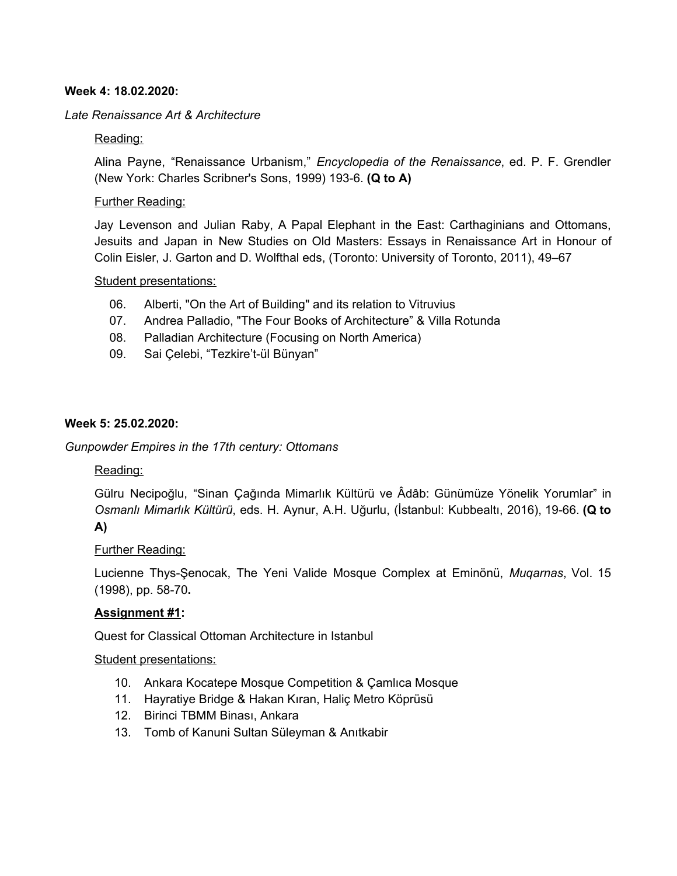#### **Week 4: 18.02.2020:**

#### *Late Renaissance Art & Architecture*

#### Reading:

Alina Payne, "Renaissance Urbanism," *Encyclopedia of the Renaissance*, ed. P. F. Grendler (New York: Charles Scribner's Sons, 1999) 193-6. **(Q to A)**

#### Further Reading:

Jay Levenson and Julian Raby, A Papal Elephant in the East: Carthaginians and Ottomans, Jesuits and Japan in New Studies on Old Masters: Essays in Renaissance Art in Honour of Colin Eisler, J. Garton and D. Wolfthal eds, (Toronto: University of Toronto, 2011), 49–67

#### Student presentations:

- 06. Alberti, "On the Art of Building" and its relation to Vitruvius
- 07. Andrea Palladio, "The Four Books of Architecture" & Villa Rotunda
- 08. Palladian Architecture (Focusing on North America)
- 09. Sai Çelebi, "Tezkire't-ül Bünyan"

#### **Week 5: 25.02.2020:**

*Gunpowder Empires in the 17th century: Ottomans*

#### Reading:

Gülru Necipoğlu, "Sinan Çağında Mimarlık Kültürü ve Âdâb: Günümüze Yönelik Yorumlar" in *Osmanlı Mimarlık Kültürü*, eds. H. Aynur, A.H. Uğurlu, (İstanbul: Kubbealtı, 2016), 19-66. **(Q to A)**

#### Further Reading:

Lucienne Thys-Şenocak, The Yeni Valide Mosque Complex at Eminönü, *Muqarnas*, Vol. 15 (1998), pp. 58-70**.**

#### **Assignment #1:**

Quest for Classical Ottoman Architecture in Istanbul

#### Student presentations:

- 10. Ankara Kocatepe Mosque Competition & Çamlıca Mosque
- 11. Hayratiye Bridge & Hakan Kıran, Haliç Metro Köprüsü
- 12. Birinci TBMM Binası, Ankara
- 13. Tomb of Kanuni Sultan Süleyman & Anıtkabir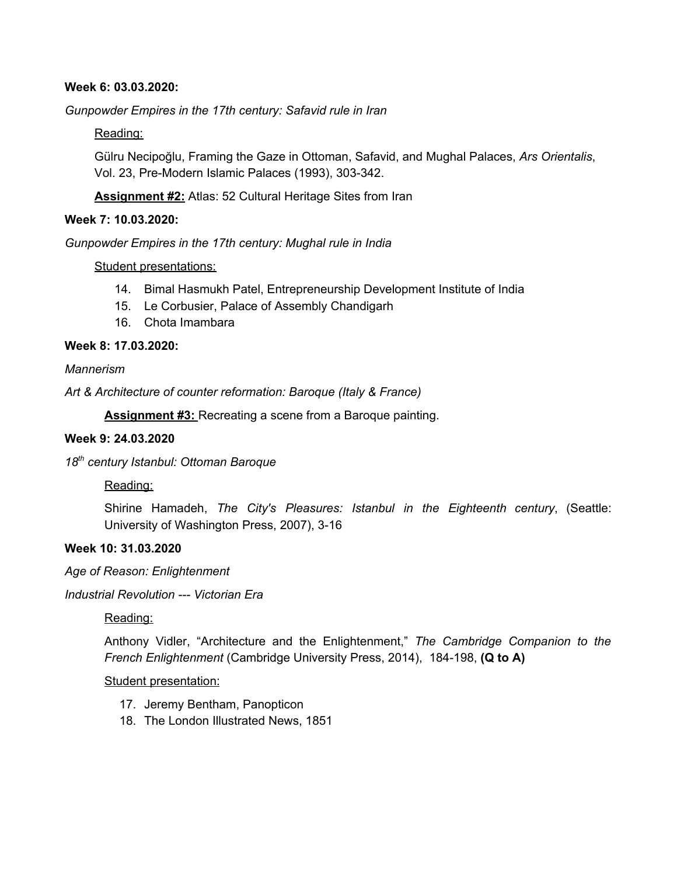#### **Week 6: 03.03.2020:**

*Gunpowder Empires in the 17th century: Safavid rule in Iran*

#### Reading:

Gülru Necipoğlu, Framing the Gaze in Ottoman, Safavid, and Mughal Palaces, *Ars Orientalis*, Vol. 23, Pre-Modern Islamic Palaces (1993), 303-342.

**Assignment #2:** Atlas: 52 Cultural Heritage Sites from Iran

#### **Week 7: 10.03.2020:**

*Gunpowder Empires in the 17th century: Mughal rule in India*

#### Student presentations:

- 14. Bimal Hasmukh Patel, Entrepreneurship Development Institute of India
- 15. Le Corbusier, Palace of Assembly Chandigarh
- 16. Chota Imambara

## **Week 8: 17.03.2020:**

#### *Mannerism*

*Art & Architecture of counter reformation: Baroque (Italy & France)*

**Assignment #3:** Recreating a scene from a Baroque painting.

#### **Week 9: 24.03.2020**

*18 th century Istanbul: Ottoman Baroque*

## Reading:

Shirine Hamadeh, *The City's Pleasures: Istanbul in the Eighteenth century*, (Seattle: University of Washington Press, 2007), 3-16

## **Week 10: 31.03.2020**

*Age of Reason: Enlightenment*

*Industrial Revolution --- Victorian Era*

Reading:

Anthony Vidler, "Architecture and the Enlightenment," *The Cambridge Companion to the French Enlightenment* (Cambridge University Press, 2014), 184-198, **(Q to A)**

#### Student presentation:

- 17. Jeremy Bentham, Panopticon
- 18. The London Illustrated News, 1851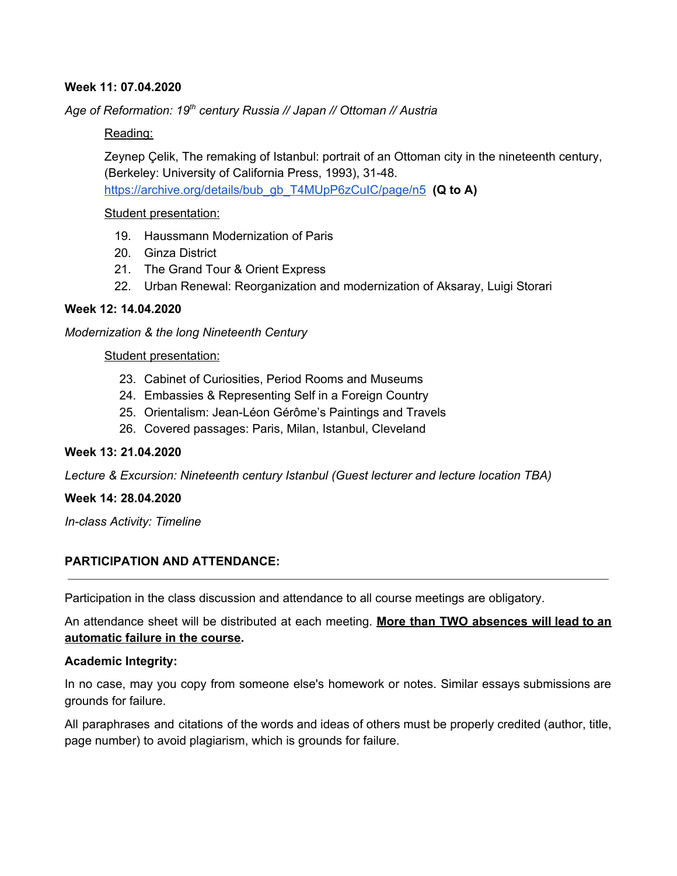#### **Week 11: 07.04.2020**

*Age of Reformation: 19 th century Russia // Japan // Ottoman // Austria*

## Reading:

Zeynep Çelik, The remaking of Istanbul: portrait of an Ottoman city in the nineteenth century, (Berkeley: University of California Press, [1993\)](https://archive.org/search.php?query=date:1993), 31-48. [https://archive.org/details/bub\\_gb\\_T4MUpP6zCuIC/page/n5](https://archive.org/details/bub_gb_T4MUpP6zCuIC/page/n5) **(Q to A)**

#### Student presentation:

- 19. Haussmann Modernization of Paris
- 20. Ginza District
- 21. The Grand Tour & Orient Express
- 22. Urban Renewal: Reorganization and modernization of Aksaray, Luigi Storari

## **Week 12: 14.04.2020**

*Modernization & the long Nineteenth Century*

## Student presentation:

- 23. Cabinet of Curiosities, Period Rooms and Museums
- 24. Embassies & Representing Self in a Foreign Country
- 25. Orientalism: Jean-Léon Gérôme's Paintings and Travels
- 26. Covered passages: Paris, Milan, Istanbul, Cleveland

## **Week 13: 21.04.2020**

*Lecture & Excursion: Nineteenth century Istanbul (Guest lecturer and lecture location TBA)*

## **Week 14: 28.04.2020**

*In-class Activity: Timeline*

## **PARTICIPATION AND ATTENDANCE:**

Participation in the class discussion and attendance to all course meetings are obligatory.

An attendance sheet will be distributed at each meeting. **More than TWO absences will lead to an automatic failure in the course.**

## **Academic Integrity:**

In no case, may you copy from someone else's homework or notes. Similar essays submissions are grounds for failure.

All paraphrases and citations of the words and ideas of others must be properly credited (author, title, page number) to avoid plagiarism, which is grounds for failure.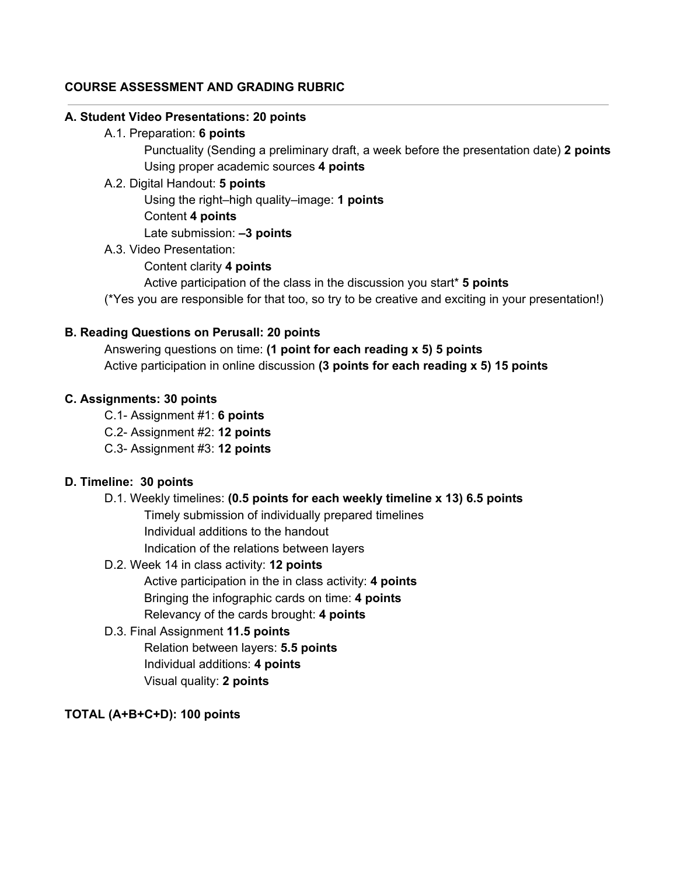# **COURSE ASSESSMENT AND GRADING RUBRIC**

#### **A. Student Video Presentations: 20 points**

A.1. Preparation: **6 points**

Punctuality (Sending a preliminary draft, a week before the presentation date) **2 points** Using proper academic sources **4 points**

#### A.2. Digital Handout: **5 points**

Using the right–high quality–image: **1 points** Content **4 points**

Late submission: **–3 points**

A.3. Video Presentation:

## Content clarity **4 points**

Active participation of the class in the discussion you start\* **5 points**

(\*Yes you are responsible for that too, so try to be creative and exciting in your presentation!)

## **B. Reading Questions on Perusall: 20 points**

Answering questions on time: **(1 point for each reading x 5) 5 points** Active participation in online discussion **(3 points for each reading x 5) 15 points**

#### **C. Assignments: 30 points**

- C.1- Assignment #1: **6 points**
- C.2- Assignment #2: **12 points**
- C.3- Assignment #3: **12 points**

## **D. Timeline: 30 points**

# D.1. Weekly timelines: **(0.5 points for each weekly timeline x 13) 6.5 points** Timely submission of individually prepared timelines Individual additions to the handout

Indication of the relations between layers

# D.2. Week 14 in class activity: **12 points**

Active participation in the in class activity: **4 points** Bringing the infographic cards on time: **4 points** Relevancy of the cards brought: **4 points**

## D.3. Final Assignment **11.5 points**

Relation between layers: **5.5 points** Individual additions: **4 points** Visual quality: **2 points**

# **TOTAL (A+B+C+D): 100 points**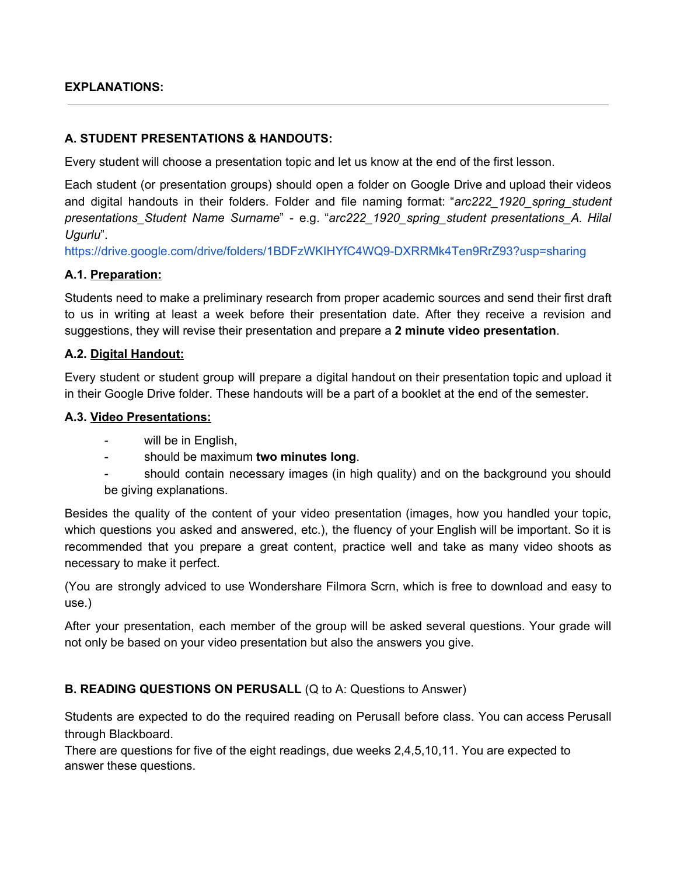## **EXPLANATIONS:**

## **A. STUDENT PRESENTATIONS & HANDOUTS:**

Every student will choose a presentation topic and let us know at the end of the first lesson.

Each student (or presentation groups) should open a folder on Google Drive and upload their videos and digital handouts in their folders. Folder and file naming format: "*arc222\_1920\_spring\_student presentations\_Student Name Surname*" - e.g. "*arc222\_1920\_spring\_student presentations\_A. Hilal Ugurlu*".

<https://drive.google.com/drive/folders/1BDFzWKIHYfC4WQ9-DXRRMk4Ten9RrZ93?usp=sharing>

# **A.1. Preparation:**

Students need to make a preliminary research from proper academic sources and send their first draft to us in writing at least a week before their presentation date. After they receive a revision and suggestions, they will revise their presentation and prepare a **2 minute video presentation**.

# **A.2. Digital Handout:**

Every student or student group will prepare a digital handout on their presentation topic and upload it in their Google Drive folder. These handouts will be a part of a booklet at the end of the semester.

#### **A.3. Video Presentations:**

- will be in English.
- should be maximum **two minutes long**.
- should contain necessary images (in high quality) and on the background you should be giving explanations.

Besides the quality of the content of your video presentation (images, how you handled your topic, which questions you asked and answered, etc.), the fluency of your English will be important. So it is recommended that you prepare a great content, practice well and take as many video shoots as necessary to make it perfect.

(You are strongly adviced to use Wondershare Filmora Scrn, which is free to download and easy to use.)

After your presentation, each member of the group will be asked several questions. Your grade will not only be based on your video presentation but also the answers you give.

# **B. READING QUESTIONS ON PERUSALL** (Q to A: Questions to Answer)

Students are expected to do the required reading on Perusall before class. You can access Perusall through Blackboard.

There are questions for five of the eight readings, due weeks 2,4,5,10,11. You are expected to answer these questions.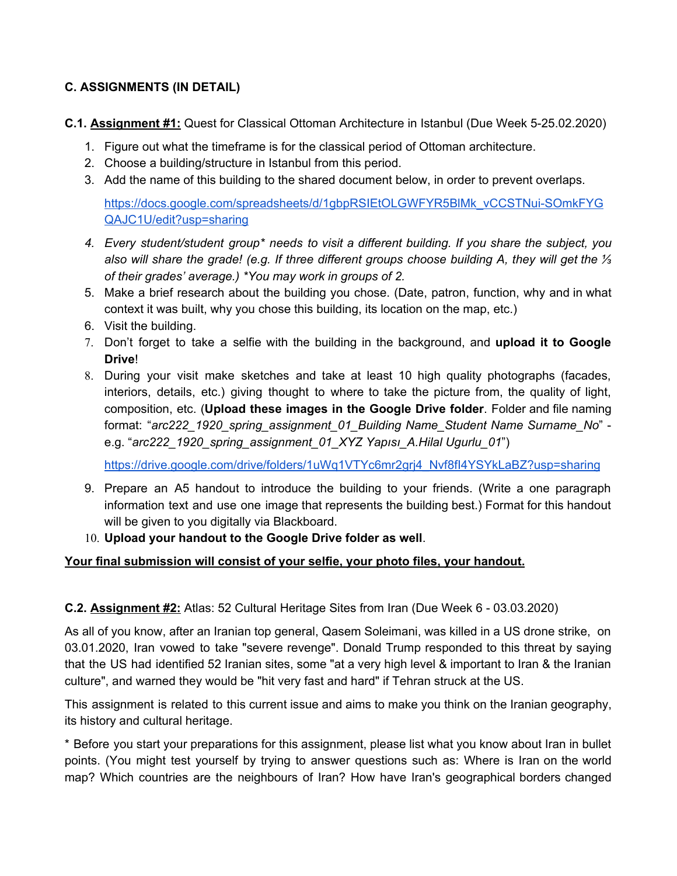# **C. ASSIGNMENTS (IN DETAIL)**

**C.1. Assignment #1:** Quest for Classical Ottoman Architecture in Istanbul (Due Week 5-25.02.2020)

- 1. Figure out what the timeframe is for the classical period of Ottoman architecture.
- 2. Choose a building/structure in Istanbul from this period.
- 3. Add the name of this building to the shared document below, in order to prevent overlaps.

[https://docs.google.com/spreadsheets/d/1gbpRSIEtOLGWFYR5BlMk\\_vCCSTNui-SOmkFYG](https://docs.google.com/spreadsheets/d/1gbpRSIEtOLGWFYR5BlMk_vCCSTNui-SOmkFYGQAJC1U/edit?usp=sharing) [QAJC1U/edit?usp=sharing](https://docs.google.com/spreadsheets/d/1gbpRSIEtOLGWFYR5BlMk_vCCSTNui-SOmkFYGQAJC1U/edit?usp=sharing)

- *4. Every student/student group\* needs to visit a different building. If you share the subject, you also will share the grade! (e.g. If three different groups choose building A, they will get the ⅓ of their grades' average.) \*You may work in groups of 2.*
- 5. Make a brief research about the building you chose. (Date, patron, function, why and in what context it was built, why you chose this building, its location on the map, etc.)
- 6. Visit the building.
- 7. Don't forget to take a selfie with the building in the background, and **upload it to Google Drive**!
- 8. During your visit make sketches and take at least 10 high quality photographs (facades, interiors, details, etc.) giving thought to where to take the picture from, the quality of light, composition, etc. (**Upload these images in the Google Drive folder**. Folder and file naming format: "*arc222\_1920\_spring\_assignment\_01\_Building Name\_Student Name Surname\_No*" e.g. "*arc222\_1920\_spring\_assignment\_01\_XYZ Yapısı\_A.Hilal Ugurlu\_01*")

[https://drive.google.com/drive/folders/1uWq1VTYc6mr2grj4\\_Nvf8fI4YSYkLaBZ?usp=sharing](https://drive.google.com/drive/folders/1uWq1VTYc6mr2grj4_Nvf8fI4YSYkLaBZ?usp=sharing)

- 9. Prepare an A5 handout to introduce the building to your friends. (Write a one paragraph information text and use one image that represents the building best.) Format for this handout will be given to you digitally via Blackboard.
- 10. **Upload your handout to the Google Drive folder as well**.

# **Your final submission will consist of your selfie, your photo files, your handout.**

# **C.2. Assignment #2:** Atlas: 52 Cultural Heritage Sites from Iran (Due Week 6 - 03.03.2020)

As all of you know, after an Iranian top general, Qasem Soleimani, was killed in a US drone strike, on 03.01.2020, Iran vowed to take "severe revenge". Donald Trump responded to this threat by saying that the US had identified 52 Iranian sites, some "at a very high level & important to Iran & the Iranian culture", and warned they would be "hit very fast and hard" if Tehran struck at the US.

This assignment is related to this current issue and aims to make you think on the Iranian geography, its history and cultural heritage.

\* Before you start your preparations for this assignment, please list what you know about Iran in bullet points. (You might test yourself by trying to answer questions such as: Where is Iran on the world map? Which countries are the neighbours of Iran? How have Iran's geographical borders changed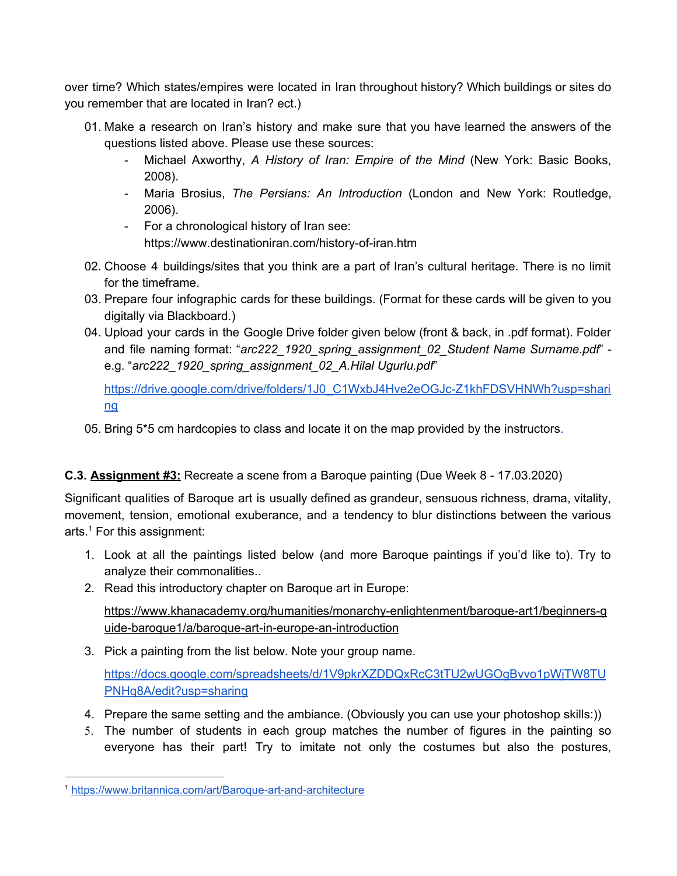over time? Which states/empires were located in Iran throughout history? Which buildings or sites do you remember that are located in Iran? ect.)

- 01. Make a research on Iran's history and make sure that you have learned the answers of the questions listed above. Please use these sources:
	- Michael Axworthy, *A History of Iran: Empire of the Mind* (New York: Basic Books, 2008).
	- Maria Brosius, *The Persians: An Introduction* (London and New York: Routledge, 2006).
	- For a chronological history of Iran see: https://www.destinationiran.com/history-of-iran.htm
- 02. Choose 4 buildings/sites that you think are a part of Iran's cultural heritage. There is no limit for the timeframe.
- 03. Prepare four infographic cards for these buildings. (Format for these cards will be given to you digitally via Blackboard.)
- 04. Upload your cards in the Google Drive folder given below (front & back, in .pdf format). Folder and file naming format: "*arc222\_1920\_spring\_assignment\_02\_Student Name Surname.pdf*" e.g. "*arc222\_1920\_spring\_assignment\_02\_A.Hilal Ugurlu.pdf*"

[https://drive.google.com/drive/folders/1J0\\_C1WxbJ4Hve2eOGJc-Z1khFDSVHNWh?usp=shari](https://drive.google.com/drive/folders/1J0_C1WxbJ4Hve2eOGJc-Z1khFDSVHNWh?usp=sharing) [ng](https://drive.google.com/drive/folders/1J0_C1WxbJ4Hve2eOGJc-Z1khFDSVHNWh?usp=sharing)

05. Bring 5\*5 cm hardcopies to class and locate it on the map provided by the instructors.

# **C.3. Assignment #3:** Recreate a scene from a Baroque painting (Due Week 8 - 17.03.2020)

Significant qualities of Baroque art is usually defined as grandeur, sensuous richness, [drama](https://www.britannica.com/art/theatre-art), vitality, movement, tension, emotional exuberance, and a tendency to blur distinctions between the various arts. $<sup>1</sup>$  For this assignment:</sup>

- 1. Look at all the paintings listed below (and more Baroque paintings if you'd like to). Try to analyze their commonalities..
- 2. Read this introductory chapter on Baroque art in Europe:

[https://www.khanacademy.org/humanities/monarchy-enlightenment/baroque-art1/beginners-g](https://www.khanacademy.org/humanities/monarchy-enlightenment/baroque-art1/beginners-guide-baroque1/a/baroque-art-in-europe-an-introduction) [uide-baroque1/a/baroque-art-in-europe-an-introduction](https://www.khanacademy.org/humanities/monarchy-enlightenment/baroque-art1/beginners-guide-baroque1/a/baroque-art-in-europe-an-introduction)

3. Pick a painting from the list below. Note your group name.

[https://docs.google.com/spreadsheets/d/1V9pkrXZDDQxRcC3tTU2wUGOgBvvo1pWjTW8TU](https://docs.google.com/spreadsheets/d/1V9pkrXZDDQxRcC3tTU2wUGOgBvvo1pWjTW8TUPNHq8A/edit?usp=sharing) [PNHq8A/edit?usp=sharing](https://docs.google.com/spreadsheets/d/1V9pkrXZDDQxRcC3tTU2wUGOgBvvo1pWjTW8TUPNHq8A/edit?usp=sharing)

- 4. Prepare the same setting and the ambiance. (Obviously you can use your photoshop skills:))
- 5. The number of students in each group matches the number of figures in the painting so everyone has their part! Try to imitate not only the costumes but also the postures,

<sup>1</sup> <https://www.britannica.com/art/Baroque-art-and-architecture>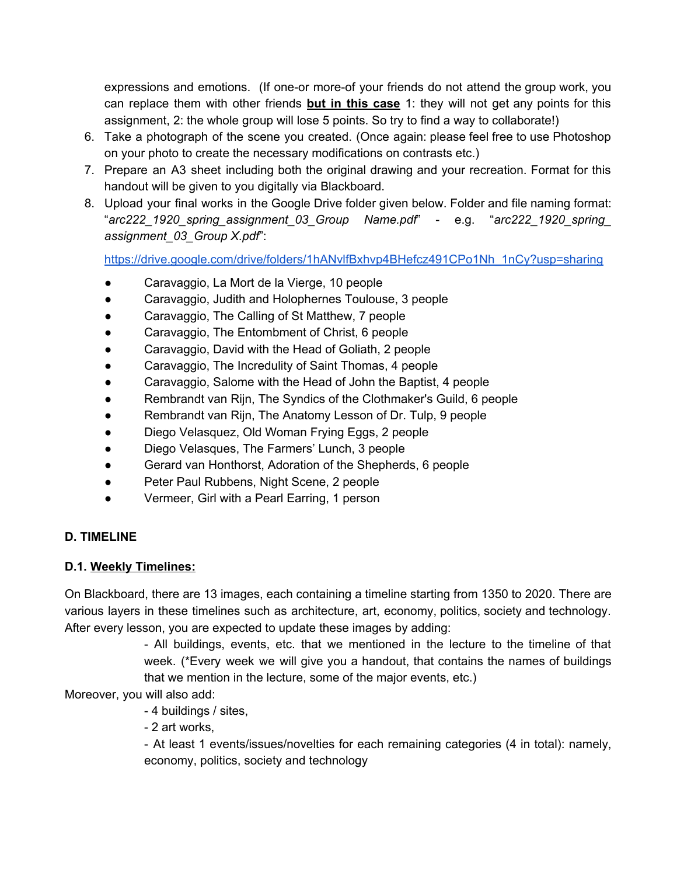expressions and emotions. (If one-or more-of your friends do not attend the group work, you can replace them with other friends **but in this case** 1: they will not get any points for this assignment, 2: the whole group will lose 5 points. So try to find a way to collaborate!)

- 6. Take a photograph of the scene you created. (Once again: please feel free to use Photoshop on your photo to create the necessary modifications on contrasts etc.)
- 7. Prepare an A3 sheet including both the original drawing and your recreation. Format for this handout will be given to you digitally via Blackboard.
- 8. Upload your final works in the Google Drive folder given below. Folder and file naming format: "*arc222\_1920\_spring\_assignment\_03\_Group Name.pdf*" - e.g. "*arc222\_1920\_spring\_ assignment\_03\_Group X.pdf*":

[https://drive.google.com/drive/folders/1hANvlfBxhvp4BHefcz491CPo1Nh\\_1nCy?usp=sharing](https://drive.google.com/drive/folders/1hANvlfBxhvp4BHefcz491CPo1Nh_1nCy?usp=sharing)

- Caravaggio, La Mort de la Vierge, 10 people
- Caravaggio, Judith and Holophernes Toulouse, 3 people
- Caravaggio, The Calling of St Matthew, 7 people
- Caravaggio, The Entombment of Christ, 6 people
- Caravaggio, David with the Head of Goliath, 2 people
- Caravaggio, The Incredulity of Saint Thomas, 4 people
- Caravaggio, Salome with the Head of John the Baptist, 4 people
- Rembrandt van Rijn, The Syndics of the Clothmaker's Guild, 6 people
- Rembrandt van Rijn, The Anatomy Lesson of Dr. Tulp, 9 people
- Diego Velasquez, Old Woman Frying Eggs, 2 people
- Diego Velasques, The Farmers' Lunch, 3 people
- Gerard van Honthorst, Adoration of the Shepherds, 6 people
- Peter Paul Rubbens, Night Scene, 2 people
- Vermeer, Girl with a Pearl Earring, 1 person

# **D. TIMELINE**

# **D.1. Weekly Timelines:**

On Blackboard, there are 13 images, each containing a timeline starting from 1350 to 2020. There are various layers in these timelines such as architecture, art, economy, politics, society and technology. After every lesson, you are expected to update these images by adding:

> - All buildings, events, etc. that we mentioned in the lecture to the timeline of that week. (\*Every week we will give you a handout, that contains the names of buildings that we mention in the lecture, some of the major events, etc.)

Moreover, you will also add:

- 4 buildings / sites,

- 2 art works,

- At least 1 events/issues/novelties for each remaining categories (4 in total): namely, economy, politics, society and technology